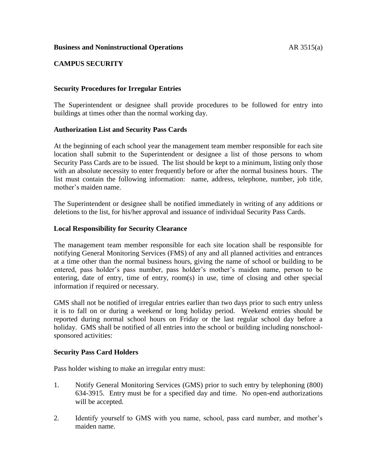## **Business and Noninstructional Operations AR** 3515(a)

## **CAMPUS SECURITY**

### **Security Procedures for Irregular Entries**

The Superintendent or designee shall provide procedures to be followed for entry into buildings at times other than the normal working day.

### **Authorization List and Security Pass Cards**

At the beginning of each school year the management team member responsible for each site location shall submit to the Superintendent or designee a list of those persons to whom Security Pass Cards are to be issued. The list should be kept to a minimum, listing only those with an absolute necessity to enter frequently before or after the normal business hours. The list must contain the following information: name, address, telephone, number, job title, mother's maiden name.

The Superintendent or designee shall be notified immediately in writing of any additions or deletions to the list, for his/her approval and issuance of individual Security Pass Cards.

### **Local Responsibility for Security Clearance**

The management team member responsible for each site location shall be responsible for notifying General Monitoring Services (FMS) of any and all planned activities and entrances at a time other than the normal business hours, giving the name of school or building to be entered, pass holder's pass number, pass holder's mother's maiden name, person to be entering, date of entry, time of entry, room(s) in use, time of closing and other special information if required or necessary.

GMS shall not be notified of irregular entries earlier than two days prior to such entry unless it is to fall on or during a weekend or long holiday period. Weekend entries should be reported during normal school hours on Friday or the last regular school day before a holiday. GMS shall be notified of all entries into the school or building including nonschoolsponsored activities:

#### **Security Pass Card Holders**

Pass holder wishing to make an irregular entry must:

- 1. Notify General Monitoring Services (GMS) prior to such entry by telephoning (800) 634-3915. Entry must be for a specified day and time. No open-end authorizations will be accepted.
- 2. Identify yourself to GMS with you name, school, pass card number, and mother's maiden name.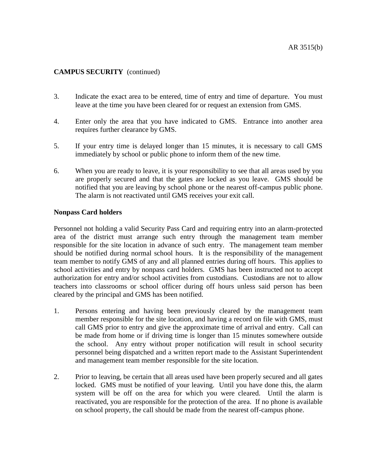- 3. Indicate the exact area to be entered, time of entry and time of departure. You must leave at the time you have been cleared for or request an extension from GMS.
- 4. Enter only the area that you have indicated to GMS. Entrance into another area requires further clearance by GMS.
- 5. If your entry time is delayed longer than 15 minutes, it is necessary to call GMS immediately by school or public phone to inform them of the new time.
- 6. When you are ready to leave, it is your responsibility to see that all areas used by you are properly secured and that the gates are locked as you leave. GMS should be notified that you are leaving by school phone or the nearest off-campus public phone. The alarm is not reactivated until GMS receives your exit call.

### **Nonpass Card holders**

Personnel not holding a valid Security Pass Card and requiring entry into an alarm-protected area of the district must arrange such entry through the management team member responsible for the site location in advance of such entry. The management team member should be notified during normal school hours. It is the responsibility of the management team member to notify GMS of any and all planned entries during off hours. This applies to school activities and entry by nonpass card holders. GMS has been instructed not to accept authorization for entry and/or school activities from custodians. Custodians are not to allow teachers into classrooms or school officer during off hours unless said person has been cleared by the principal and GMS has been notified.

- 1. Persons entering and having been previously cleared by the management team member responsible for the site location, and having a record on file with GMS, must call GMS prior to entry and give the approximate time of arrival and entry. Call can be made from home or if driving time is longer than 15 minutes somewhere outside the school. Any entry without proper notification will result in school security personnel being dispatched and a written report made to the Assistant Superintendent and management team member responsible for the site location.
- 2. Prior to leaving, be certain that all areas used have been properly secured and all gates locked. GMS must be notified of your leaving. Until you have done this, the alarm system will be off on the area for which you were cleared. Until the alarm is reactivated, you are responsible for the protection of the area. If no phone is available on school property, the call should be made from the nearest off-campus phone.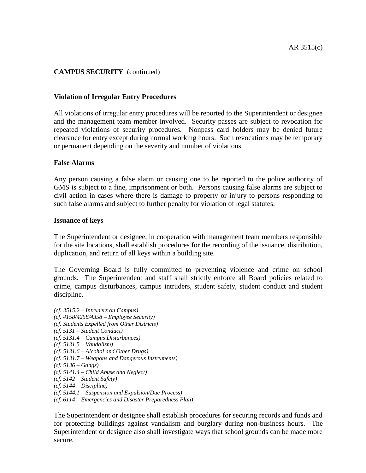### **Violation of Irregular Entry Procedures**

All violations of irregular entry procedures will be reported to the Superintendent or designee and the management team member involved. Security passes are subject to revocation for repeated violations of security procedures. Nonpass card holders may be denied future clearance for entry except during normal working hours. Such revocations may be temporary or permanent depending on the severity and number of violations.

#### **False Alarms**

Any person causing a false alarm or causing one to be reported to the police authority of GMS is subject to a fine, imprisonment or both. Persons causing false alarms are subject to civil action in cases where there is damage to property or injury to persons responding to such false alarms and subject to further penalty for violation of legal statutes.

#### **Issuance of keys**

The Superintendent or designee, in cooperation with management team members responsible for the site locations, shall establish procedures for the recording of the issuance, distribution, duplication, and return of all keys within a building site.

The Governing Board is fully committed to preventing violence and crime on school grounds. The Superintendent and staff shall strictly enforce all Board policies related to crime, campus disturbances, campus intruders, student safety, student conduct and student discipline.

*(cf. 3515.2 – Intruders on Campus) (cf. 4158/4258/4358 – Employee Security) (cf. Students Expelled from Other Districts) (cf. 5131 – Student Conduct) (cf. 5131.4 – Campus Disturbances) (cf. 5131.5 – Vandalism) (cf. 5131.6 – Alcohol and Other Drugs) (cf. 5131.7 – Weapons and Dangerous Instruments) (cf. 5136 – Gangs) (cf. 5141.4 – Child Abuse and Neglect) (cf. 5142 – Student Safety) (cf. 5144 – Discipline) (cf. 5144.1 – Suspension and Expulsion/Due Process) (cf. 6114 – Emergencies and Disaster Preparedness Plan)*

The Superintendent or designee shall establish procedures for securing records and funds and for protecting buildings against vandalism and burglary during non-business hours. The Superintendent or designee also shall investigate ways that school grounds can be made more secure.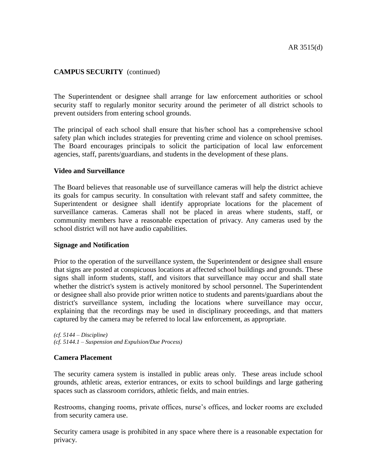The Superintendent or designee shall arrange for law enforcement authorities or school security staff to regularly monitor security around the perimeter of all district schools to prevent outsiders from entering school grounds.

The principal of each school shall ensure that his/her school has a comprehensive school safety plan which includes strategies for preventing crime and violence on school premises. The Board encourages principals to solicit the participation of local law enforcement agencies, staff, parents/guardians, and students in the development of these plans.

### **Video and Surveillance**

The Board believes that reasonable use of surveillance cameras will help the district achieve its goals for campus security. In consultation with relevant staff and safety committee, the Superintendent or designee shall identify appropriate locations for the placement of surveillance cameras. Cameras shall not be placed in areas where students, staff, or community members have a reasonable expectation of privacy. Any cameras used by the school district will not have audio capabilities.

## **Signage and Notification**

Prior to the operation of the surveillance system, the Superintendent or designee shall ensure that signs are posted at conspicuous locations at affected school buildings and grounds. These signs shall inform students, staff, and visitors that surveillance may occur and shall state whether the district's system is actively monitored by school personnel. The Superintendent or designee shall also provide prior written notice to students and parents/guardians about the district's surveillance system, including the locations where surveillance may occur, explaining that the recordings may be used in disciplinary proceedings, and that matters captured by the camera may be referred to local law enforcement, as appropriate.

*(cf. 5144 – Discipline) (cf. 5144.1 – Suspension and Expulsion/Due Process)*

#### **Camera Placement**

The security camera system is installed in public areas only. These areas include school grounds, athletic areas, exterior entrances, or exits to school buildings and large gathering spaces such as classroom corridors, athletic fields, and main entries.

Restrooms, changing rooms, private offices, nurse's offices, and locker rooms are excluded from security camera use.

Security camera usage is prohibited in any space where there is a reasonable expectation for privacy.